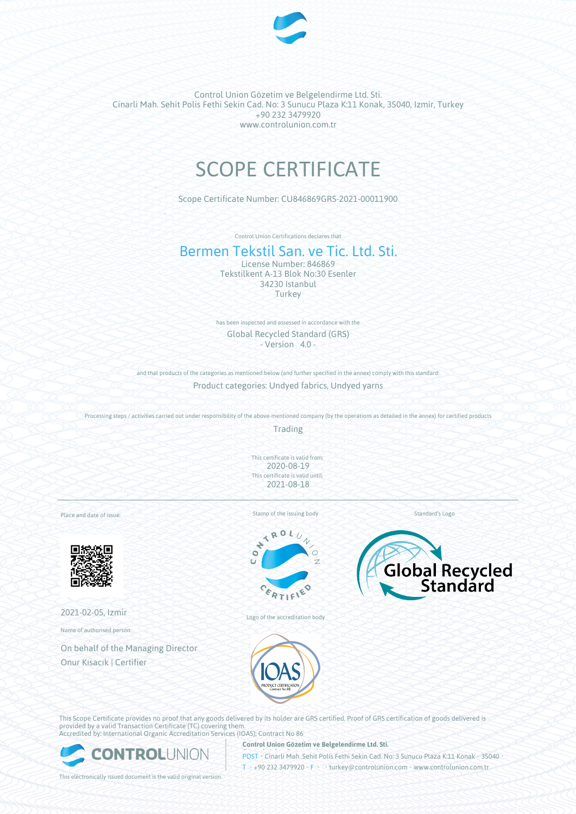

Control Union Gözetim ve Belgelendirme Ltd. Sti. Cinarli Mah. Sehit Polis Fethi Sekin Cad. No: 3 Sunucu Plaza K:11 Konak, 35040, Izmir, Turkey +90 232 3479920 www.controlunion.com.tr

## SCOPE CERTIFICATE

Scope Certificate Number: CU846869GRS-2021-00011900

Control Union Certifications declares that

## Bermen Tekstil San. ve Tic. Ltd. Sti.

License Number: 846869 Tekstilkent A-13 Blok No:30 Esenler 34230 Istanbul **Turkey** 

has been inspected and assessed in accordance with the Global Recycled Standard (GRS)  $-$  Version  $4.0 -$ 

and that products of the categories as mentioned below (and further specified in the annex) comply with this standard:

Product categories: Undyed fabrics, Undyed yarns

Processing steps / activities carried out under responsibility of the above-mentioned company (by the operations as detailed in the annex) for certified products

Trading

This certificate is valid from: 2020-08-19 This certificate is valid until: 2021-08-18

Place and date of issue:



2021-02-05, Izmir

Name of authorised person:

On behalf of the Managing Director Onur Kısacık | Certifier

Stamp of the issuing body



Logo of the accreditation body



Standard's Logo



This Scope Certificate provides no proof that any goods delivered by its holder are GRS certified. Proof of GRS certification of goods delivered is provided by a valid Transaction Certificate (TC) covering them. Accredited by: International Organic Accreditation Services (IOAS); Contract No 86



**Control Union Gözetim ve Belgelendirme Ltd. Sti.**

POST • Cinarli Mah. Sehit Polis Fethi Sekin Cad. No: 3 Sunucu Plaza K:11 Konak • 35040 • T • +90 232 3479920 • F • • turkey@controlunion.com • www.controlunion.com.tr

This electronically issued document is the valid original version.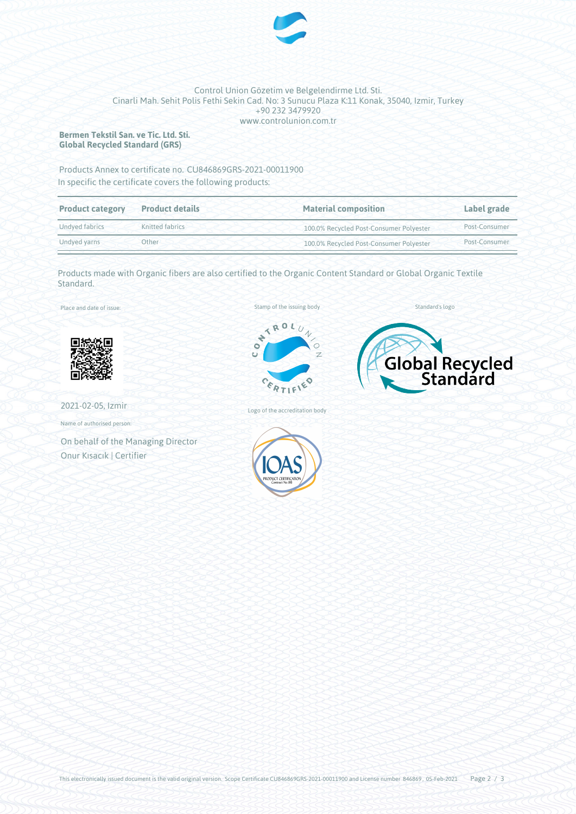

## Control Union Gözetim ve Belgelendirme Ltd. Sti. Cinarli Mah. Sehit Polis Fethi Sekin Cad. No: 3 Sunucu Plaza K:11 Konak, 35040, Izmir, Turkey +90 232 3479920 www.controlunion.com.tr

**Bermen Tekstil San. ve Tic. Ltd. Sti. Global Recycled Standard (GRS)**

Products Annex to certificate no. CU846869GRS-2021-00011900 In specific the certificate covers the following products:

| <b>Product category</b> | <b>Product details</b> | <b>Material composition</b>             | Label grade<br>Post-Consumer |  |
|-------------------------|------------------------|-----------------------------------------|------------------------------|--|
| Undved fabrics          | Knitted fabrics        | 100.0% Recycled Post-Consumer Polyester |                              |  |
| Other<br>Undyed yarns   |                        | 100.0% Recycled Post-Consumer Polyester | Post-Consumer                |  |

Products made with Organic fibers are also certified to the Organic Content Standard or Global Organic Textile Standard.

Place and date of issue:



2021-02-05, Izmir

Name of authorised person:

On behalf of the Managing Director Onur Kısacık | Certifier





Standard's logo



Logo of the accreditation body